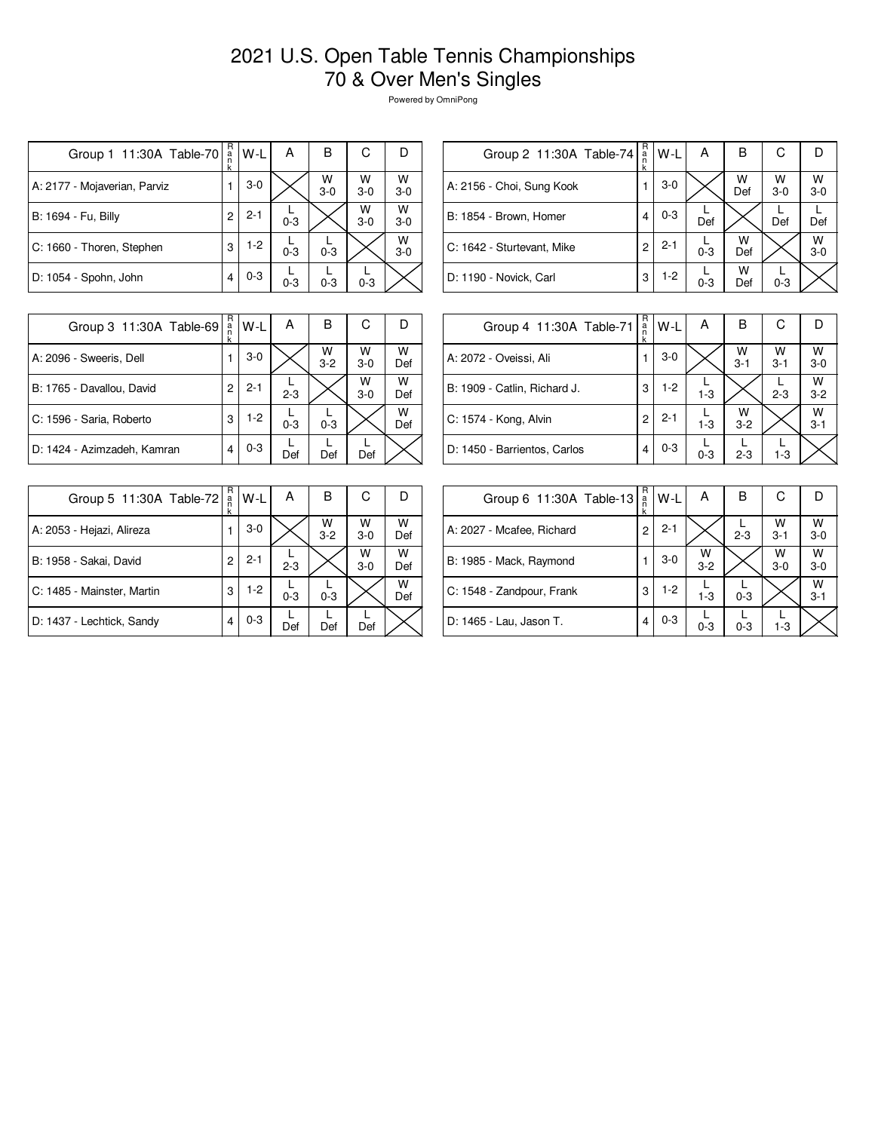## 2021 U.S. Open Table Tennis Championships 70 & Over Men's Singles

Powered by OmniPong

| Group 1 11:30A Table-70      | R<br>a<br>n<br>k | W-L     | Α       | в          | С          | I)         |
|------------------------------|------------------|---------|---------|------------|------------|------------|
| A: 2177 - Mojaverian, Parviz |                  | $3-0$   |         | W<br>$3-0$ | W<br>$3-0$ | W<br>$3-0$ |
| B: 1694 - Fu, Billy          | 2                | $2 - 1$ | $0 - 3$ |            | W<br>$3-0$ | W<br>$3-0$ |
| C: 1660 - Thoren, Stephen    | 3                | $1-2$   | $0 - 3$ | $0 - 3$    |            | W<br>$3-0$ |
| D: 1054 - Spohn, John        | 4                | $0 - 3$ | $0 - 3$ | $0 - 3$    | $0 - 3$    |            |

| R<br>Group 2 11:30A Table-74<br>$\frac{a}{n}$<br>k | W-L     | А       | В        | С          |            |
|----------------------------------------------------|---------|---------|----------|------------|------------|
|                                                    | $3-0$   |         | W<br>Def | W<br>$3-0$ | W<br>$3-0$ |
| 4                                                  | $0 - 3$ | Def     |          | Def        | Def        |
| 2                                                  | $2 - 1$ | $0 - 3$ | w<br>Def |            | W<br>$3-0$ |
| 3                                                  | $1-2$   | $0 - 3$ | w<br>Def | $0 - 3$    |            |
|                                                    |         |         |          |            |            |

| Group 3 11:30A Table-69     | R<br>a<br>k | W-L     | А       | В            | С          |          |
|-----------------------------|-------------|---------|---------|--------------|------------|----------|
| A: 2096 - Sweeris, Dell     |             | $3-0$   |         | w<br>$3 - 2$ | w<br>$3-0$ | W<br>Def |
| B: 1765 - Davallou, David   | 2           | $2 - 1$ | $2 - 3$ |              | W<br>$3-0$ | W<br>Def |
| C: 1596 - Saria, Roberto    | 3           | $1-2$   | $0 - 3$ | $0 - 3$      |            | W<br>Def |
| D: 1424 - Azimzadeh, Kamran | 4           | $0 - 3$ | Def     | Def          | Def        |          |

| Group 4 11:30A Table-71      | R<br>a<br>k | W-L     | А       | В            | С            | D            |
|------------------------------|-------------|---------|---------|--------------|--------------|--------------|
| A: 2072 - Oveissi, Ali       |             | $3-0$   |         | W<br>$3 - 1$ | W<br>$3 - 1$ | W<br>$3-0$   |
| B: 1909 - Catlin, Richard J. | 3           | $1-2$   | $1 - 3$ |              | $2 - 3$      | w<br>$3-2$   |
| C: 1574 - Kong, Alvin        | 2           | $2 - 1$ | $1 - 3$ | W<br>$3-2$   |              | w<br>$3 - 1$ |
| D: 1450 - Barrientos, Carlos | 4           | $0 - 3$ | $0 - 3$ | $2 - 3$      | $1 - 3$      |              |

| Group 5 11:30A Table-72    | R<br>ä | W-L     | A       | в                  | С          | D        |
|----------------------------|--------|---------|---------|--------------------|------------|----------|
| A: 2053 - Hejazi, Alireza  |        | $3-0$   |         | $W$ <sub>3-2</sub> | W<br>$3-0$ | w<br>Def |
| B: 1958 - Sakai, David     | 2      | $2 - 1$ | $2 - 3$ |                    | W<br>$3-0$ | W<br>Def |
| C: 1485 - Mainster, Martin | 3      | $1-2$   | $0 - 3$ | $0 - 3$            |            | W<br>Def |
| D: 1437 - Lechtick, Sandy  | 4      | $0 - 3$ | Def     | Def                | Def        |          |

| Group 6 11:30A Table-13   | R<br>ă<br>k | W-L     | А            | в       | С            |              |
|---------------------------|-------------|---------|--------------|---------|--------------|--------------|
| A: 2027 - Mcafee, Richard | 2           | $2 - 1$ |              | $2 - 3$ | W<br>$3 - 1$ | W<br>$3 - 0$ |
| B: 1985 - Mack, Raymond   |             | $3-0$   | W<br>$3 - 2$ |         | W<br>$3-0$   | W<br>$3-0$   |
| C: 1548 - Zandpour, Frank | 3           | $1-2$   | $1-3$        | $0 - 3$ |              | W<br>$3 - 1$ |
| D: 1465 - Lau, Jason T.   | 4           | $0 - 3$ | $0 - 3$      | $0 - 3$ | $1 - 3$      |              |